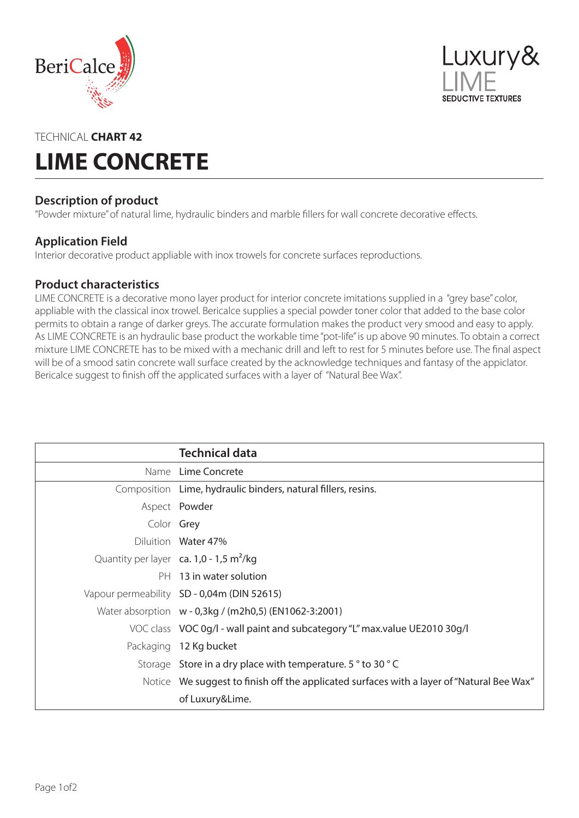



# TECHNICAL **CHART 42 LIME CONCRETE**

# **Description of product**

"Powder mixture" of natural lime, hydraulic binders and marble fillers for wall concrete decorative effects.

### **Application Field**

Interior decorative product appliable with inox trowels for concrete surfaces reproductions.

### **Product characteristics**

LIME CONCRETE is a decorative mono layer product for interior concrete imitations supplied in a "grey base" color, appliable with the classical inox trowel. Bericalce supplies a special powder toner color that added to the base color permits to obtain a range of darker greys. The accurate formulation makes the product very smood and easy to apply. As LIME CONCRETE is an hydraulic base product the workable time "pot-life" is up above 90 minutes. To obtain a correct mixture LIME CONCRETE has to be mixed with a mechanic drill and left to rest for 5 minutes before use. The final aspect will be of a smood satin concrete wall surface created by the acknowledge techniques and fantasy of the appiclator. Bericalce suggest to finish off the applicated surfaces with a layer of "Natural Bee Wax".

|            | <b>Technical data</b>                                                                     |
|------------|-------------------------------------------------------------------------------------------|
|            | Name Lime Concrete                                                                        |
|            | Composition Lime, hydraulic binders, natural fillers, resins.                             |
|            | Aspect Powder                                                                             |
| Color Grey |                                                                                           |
|            | Diluition Water 47%                                                                       |
|            | Quantity per layer ca. $1,0 - 1,5$ m <sup>2</sup> /kg                                     |
|            | PH 13 in water solution                                                                   |
|            | Vapour permeability SD - 0,04m (DIN 52615)                                                |
|            | Water absorption w - 0,3kg / (m2h0,5) (EN1062-3:2001)                                     |
|            | VOC class VOC 0g/l - wall paint and subcategory "L" max.value UE2010 30g/l                |
|            | Packaging 12 Kg bucket                                                                    |
|            | Storage Store in a dry place with temperature. 5° to 30° C                                |
|            | Notice We suggest to finish off the applicated surfaces with a layer of "Natural Bee Wax" |
|            | of Luxury&Lime.                                                                           |